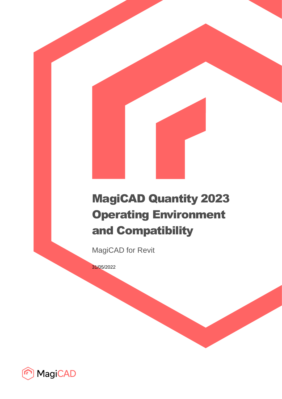# MagiCAD Quantity 2023 Operating Environment and Compatibility

MagiCAD for Revit

31/05/2022

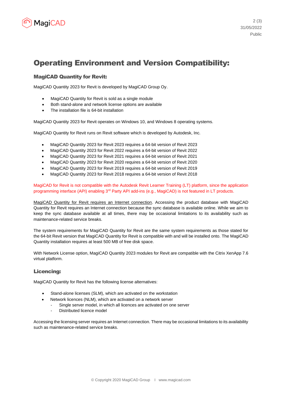

# Operating Environment and Version Compatibility:

## MagiCAD Quantity for Revit:

MagiCAD Quantity 2023 for Revit is developed by MagiCAD Group Oy.

- MagiCAD Quantity for Revit is sold as a single module
- Both stand-alone and network license options are available
- The installation file is 64-bit installation

MagiCAD Quantity 2023 for Revit operates on Windows 10, and Windows 8 operating systems.

MagiCAD Quantity for Revit runs on Revit software which is developed by Autodesk, Inc.

- MagiCAD Quantity 2023 for Revit 2023 requires a 64-bit version of Revit 2023
- MagiCAD Quantity 2023 for Revit 2022 requires a 64-bit version of Revit 2022
- MagiCAD Quantity 2023 for Revit 2021 requires a 64-bit version of Revit 2021
- MagiCAD Quantity 2023 for Revit 2020 requires a 64-bit version of Revit 2020
- MagiCAD Quantity 2023 for Revit 2019 requires a 64-bit version of Revit 2019
- MagiCAD Quantity 2023 for Revit 2018 requires a 64-bit version of Revit 2018

MagiCAD for Revit is not compatible with the Autodesk Revit Learner Training (LT) platform, since the application programming interface (API) enabling 3<sup>rd</sup> Party API add-ins (e.g., MagiCAD) is not featured in LT products.

MagiCAD Quantity for Revit requires an Internet connection. Accessing the product database with MagiCAD Quantity for Revit requires an Internet connection because the sync database is available online. While we aim to keep the sync database available at all times, there may be occasional limitations to its availability such as maintenance-related service breaks.

The system requirements for MagiCAD Quantity for Revit are the same system requirements as those stated for the 64-bit Revit version that MagiCAD Quantity for Revit is compatible with and will be installed onto. The MagiCAD Quantity installation requires at least 500 MB of free disk space.

With Network License option, MagiCAD Quantity 2023 modules for Revit are compatible with the Citrix XenApp 7.6 virtual platform.

### Licencing:

MagiCAD Quantity for Revit has the following license alternatives:

- Stand-alone licenses (SLM), which are activated on the workstation
- Network licences (NLM), which are activated on a network server
- Single server model, in which all licences are activated on one server
	- Distributed licence model

Accessing the licensing server requires an Internet connection. There may be occasional limitations to its availability such as maintenance-related service breaks.